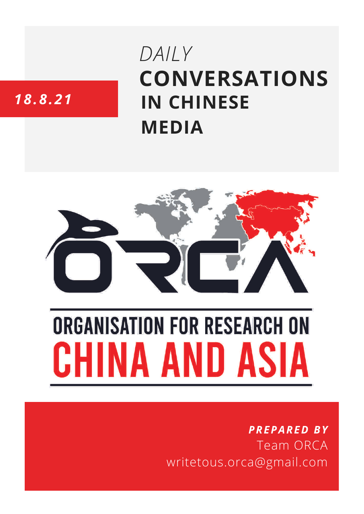# **CONVERSATIONS IN CHINESE MEDIA** *DAILY*

# *18.8.21*



# **ORGANISATION FOR RESEARCH ON** HINA AND ASIA

## *PREPARED BY* Team ORCA writetous.orca@gmail.com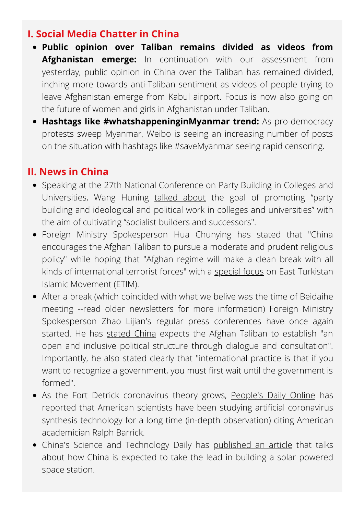#### **I. Social Media Chatter in China**

- **Public opinion over Taliban remains divided as videos from Afghanistan emerge:** In continuation with our assessment from yesterday, public opinion in China over the Taliban has remained divided, inching more towards anti-Taliban sentiment as videos of people trying to leave Afghanistan emerge from Kabul airport. Focus is now also going on the future of women and girls in Afghanistan under Taliban.
- **Hashtags like #whatshappeninginMyanmar trend:** As pro-democracy protests sweep Myanmar, Weibo is seeing an increasing number of posts on the situation with hashtags like #saveMyanmar seeing rapid censoring.

#### **II. News in China**

- Speaking at the 27th National Conference on Party Building in Colleges and Universities, Wang Huning [talked](http://paper.people.com.cn/rmrb/html/2021-08/18/nw.D110000renmrb_20210818_6-01.htm) about the goal of promoting "party building and ideological and political work in colleges and universities" with the aim of cultivating "socialist builders and successors".
- Foreign Ministry Spokesperson Hua Chunying has stated that "China encourages the Afghan Taliban to pursue a moderate and prudent religious policy" while hoping that "Afghan regime will make a clean break with all kinds of international terrorist forces" with a [special](https://www.fmprc.gov.cn/mfa_eng/xwfw_665399/s2510_665401/2511_665403/t1900083.shtml) focus on East Turkistan Islamic Movement (ETIM).
- After a break (which coincided with what we belive was the time of Beidaihe meeting --read older newsletters for more information) Foreign Ministry Spokesperson Zhao Lijian's regular press conferences have once again started. He has [stated](https://www.fmprc.gov.cn/web/fyrbt_673021/t1900269.shtml) China expects the Afghan Taliban to establish "an open and inclusive political structure through dialogue and consultation". Importantly, he also stated clearly that "international practice is that if you want to recognize a government, you must first wait until the government is formed".
- As the Fort Detrick coronavirus theory grows, [People's](https://news.ifeng.com/c/88nLDrZvLnO) Daily Online has reported that American scientists have been studying artificial coronavirus synthesis technology for a long time (in-depth observation) citing American academician Ralph Barrick.
- China's Science and Technology Daily has [published](https://www.guancha.cn/industry-science/2019_02_14_490179_s.shtml?s=sywglbt) an article that talks about how China is expected to take the lead in building a solar powered space station.